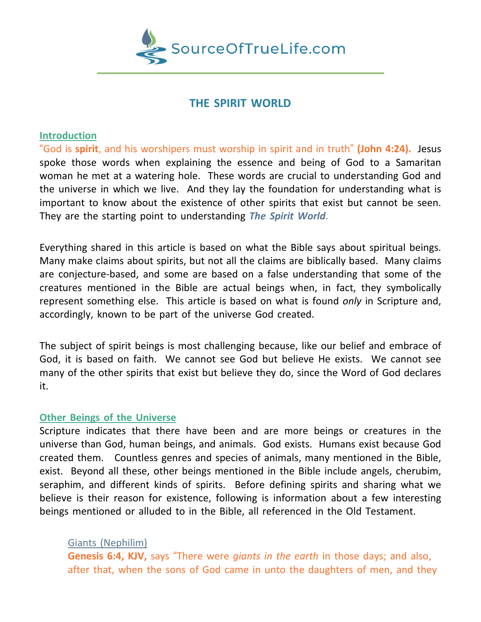

# **THE SPIRIT WORLD**

## **Introduction**

"God is **spirit**, and his worshipers must worship in spirit and in truth" **(John 4:24).** Jesus spoke those words when explaining the essence and being of God to a Samaritan woman he met at a watering hole. These words are crucial to understanding God and the universe in which we live. And they lay the foundation for understanding what is important to know about the existence of other spirits that exist but cannot be seen. They are the starting point to understanding *The Spirit World*.

Everything shared in this article is based on what the Bible says about spiritual beings. Many make claims about spirits, but not all the claims are biblically based. Many claims are conjecture-based, and some are based on a false understanding that some of the creatures mentioned in the Bible are actual beings when, in fact, they symbolically represent something else. This article is based on what is found *only* in Scripture and, accordingly, known to be part of the universe God created.

The subject of spirit beings is most challenging because, like our belief and embrace of God, it is based on faith. We cannot see God but believe He exists. We cannot see many of the other spirits that exist but believe they do, since the Word of God declares it.

## **Other Beings of the Universe**

Scripture indicates that there have been and are more beings or creatures in the universe than God, human beings, and animals. God exists. Humans exist because God created them. Countless genres and species of animals, many mentioned in the Bible, exist. Beyond all these, other beings mentioned in the Bible include angels, cherubim, seraphim, and different kinds of spirits. Before defining spirits and sharing what we believe is their reason for existence, following is information about a few interesting beings mentioned or alluded to in the Bible, all referenced in the Old Testament.

## Giants (Nephilim)

**Genesis 6:4, KJV,** says "There were *giants in the earth* in those days; and also, after that, when the sons of God came in unto the daughters of men, and they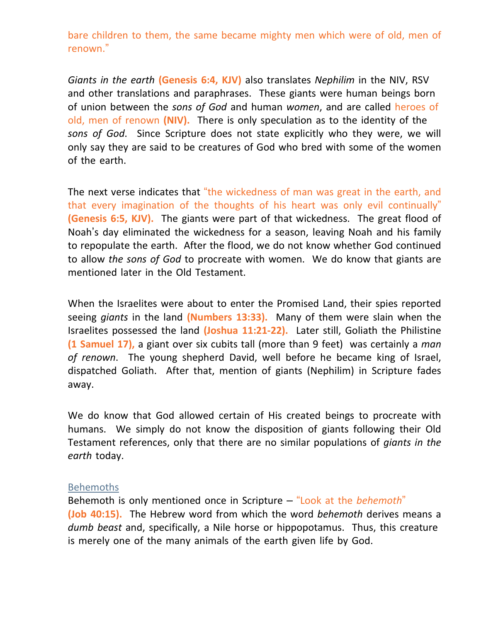bare children to them, the same became mighty men which were of old, men of renown."

*Giants in the earth* **(Genesis 6:4, KJV)** also translates *Nephilim* in the NIV, RSV and other translations and paraphrases. These giants were human beings born of union between the *sons of God* and human *women*, and are called heroes of old, men of renown **(NIV).** There is only speculation as to the identity of the *sons of God*. Since Scripture does not state explicitly who they were, we will only say they are said to be creatures of God who bred with some of the women of the earth.

The next verse indicates that "the wickedness of man was great in the earth, and that every imagination of the thoughts of his heart was only evil continually" **(Genesis 6:5, KJV).** The giants were part of that wickedness. The great flood of Noah's day eliminated the wickedness for a season, leaving Noah and his family to repopulate the earth. After the flood, we do not know whether God continued to allow *the sons of God* to procreate with women. We do know that giants are mentioned later in the Old Testament.

When the Israelites were about to enter the Promised Land, their spies reported seeing *giants* in the land **(Numbers 13:33).** Many of them were slain when the Israelites possessed the land **(Joshua 11:21-22).** Later still, Goliath the Philistine **(1 Samuel 17),** a giant over six cubits tall (more than 9 feet) was certainly a *man of renown*. The young shepherd David, well before he became king of Israel, dispatched Goliath. After that, mention of giants (Nephilim) in Scripture fades away.

We do know that God allowed certain of His created beings to procreate with humans. We simply do not know the disposition of giants following their Old Testament references, only that there are no similar populations of *giants in the earth* today.

#### Behemoths

Behemoth is only mentioned once in Scripture – "Look at the *behemoth*" **(Job 40:15).** The Hebrew word from which the word *behemoth* derives means a *dumb beast* and, specifically, a Nile horse or hippopotamus. Thus, this creature is merely one of the many animals of the earth given life by God.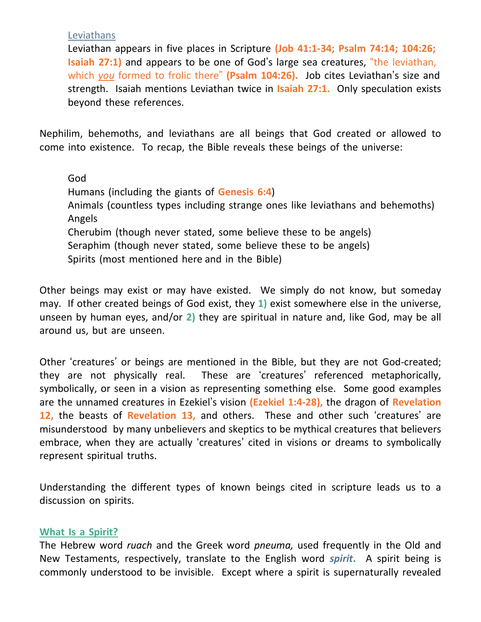**Leviathans** 

Leviathan appears in five places in Scripture **(Job 41:1-34; Psalm 74:14; 104:26; Isaiah 27:1)** and appears to be one of God's large sea creatures, "the leviathan, which *you* formed to frolic there" **(Psalm 104:26).** Job cites Leviathan's size and strength. Isaiah mentions Leviathan twice in **Isaiah 27:1.** Only speculation exists beyond these references.

Nephilim, behemoths, and leviathans are all beings that God created or allowed to come into existence. To recap, the Bible reveals these beings of the universe:

God Humans (including the giants of **Genesis 6:4**) Animals (countless types including strange ones like leviathans and behemoths) Angels Cherubim (though never stated, some believe these to be angels) Seraphim (though never stated, some believe these to be angels) Spirits (most mentioned here and in the Bible)

Other beings may exist or may have existed. We simply do not know, but someday may. If other created beings of God exist, they **1)** exist somewhere else in the universe, unseen by human eyes, and/or **2)** they are spiritual in nature and, like God, may be all around us, but are unseen.

Other 'creatures' or beings are mentioned in the Bible, but they are not God-created; they are not physically real. These are 'creatures' referenced metaphorically, symbolically, or seen in a vision as representing something else. Some good examples are the unnamed creatures in Ezekiel's vision **(Ezekiel 1:4-28),** the dragon of **Revelation 12,** the beasts of **Revelation 13,** and others. These and other such 'creatures' are misunderstood by many unbelievers and skeptics to be mythical creatures that believers embrace, when they are actually 'creatures' cited in visions or dreams to symbolically represent spiritual truths.

Understanding the different types of known beings cited in scripture leads us to a discussion on spirits.

## **What Is a Spirit?**

The Hebrew word *ruach* and the Greek word *pneuma,* used frequently in the Old and New Testaments, respectively, translate to the English word *spirit***.** A spirit being is commonly understood to be invisible. Except where a spirit is supernaturally revealed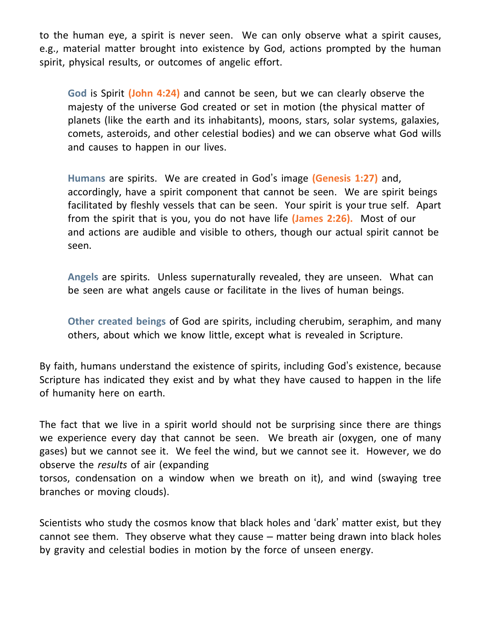to the human eye, a spirit is never seen. We can only observe what a spirit causes, e.g., material matter brought into existence by God, actions prompted by the human spirit, physical results, or outcomes of angelic effort.

**God** is Spirit **(John 4:24)** and cannot be seen, but we can clearly observe the majesty of the universe God created or set in motion (the physical matter of planets (like the earth and its inhabitants), moons, stars, solar systems, galaxies, comets, asteroids, and other celestial bodies) and we can observe what God wills and causes to happen in our lives.

**Humans** are spirits. We are created in God's image **(Genesis 1:27)** and, accordingly, have a spirit component that cannot be seen. We are spirit beings facilitated by fleshly vessels that can be seen. Your spirit is your true self. Apart from the spirit that is you, you do not have life **(James 2:26).** Most of our and actions are audible and visible to others, though our actual spirit cannot be seen.

**Angels** are spirits. Unless supernaturally revealed, they are unseen. What can be seen are what angels cause or facilitate in the lives of human beings.

**Other created beings** of God are spirits, including cherubim, seraphim, and many others, about which we know little, except what is revealed in Scripture.

By faith, humans understand the existence of spirits, including God's existence, because Scripture has indicated they exist and by what they have caused to happen in the life of humanity here on earth.

The fact that we live in a spirit world should not be surprising since there are things we experience every day that cannot be seen. We breath air (oxygen, one of many gases) but we cannot see it. We feel the wind, but we cannot see it. However, we do observe the *results* of air (expanding

torsos, condensation on a window when we breath on it), and wind (swaying tree branches or moving clouds).

Scientists who study the cosmos know that black holes and 'dark' matter exist, but they cannot see them. They observe what they cause – matter being drawn into black holes by gravity and celestial bodies in motion by the force of unseen energy.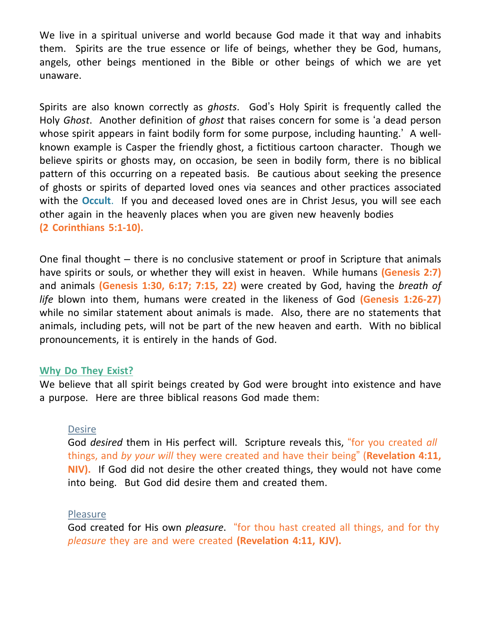We live in a spiritual universe and world because God made it that way and inhabits them. Spirits are the true essence or life of beings, whether they be God, humans, angels, other beings mentioned in the Bible or other beings of which we are yet unaware.

Spirits are also known correctly as *ghosts*. God's Holy Spirit is frequently called the Holy *Ghost*. Another definition of *ghost* that raises concern for some is 'a dead person whose spirit appears in faint bodily form for some purpose, including haunting.' A wellknown example is Casper the friendly ghost, a fictitious cartoon character. Though we believe spirits or ghosts may, on occasion, be seen in bodily form, there is no biblical pattern of this occurring on a repeated basis. Be cautious about seeking the presence of ghosts or spirits of departed loved ones via seances and other practices associated with the **Occult**. If you and deceased loved ones are in Christ Jesus, you will see each other again in the heavenly places when you are given new heavenly bodies **(2 Corinthians 5:1-10).**

One final thought – there is no conclusive statement or proof in Scripture that animals have spirits or souls, or whether they will exist in heaven. While humans **(Genesis 2:7)** and animals **(Genesis 1:30, 6:17; 7:15, 22)** were created by God, having the *breath of life* blown into them, humans were created in the likeness of God **(Genesis 1:26-27)** while no similar statement about animals is made. Also, there are no statements that animals, including pets, will not be part of the new heaven and earth. With no biblical pronouncements, it is entirely in the hands of God.

#### **Why Do They Exist?**

We believe that all spirit beings created by God were brought into existence and have a purpose. Here are three biblical reasons God made them:

#### **Desire**

God *desired* them in His perfect will. Scripture reveals this, "for you created *all* things, and *by your will* they were created and have their being" (**Revelation 4:11, NIV).** If God did not desire the other created things, they would not have come into being. But God did desire them and created them.

#### **Pleasure**

God created for His own *pleasure*. "for thou hast created all things, and for thy *pleasure* they are and were created **(Revelation 4:11, KJV).**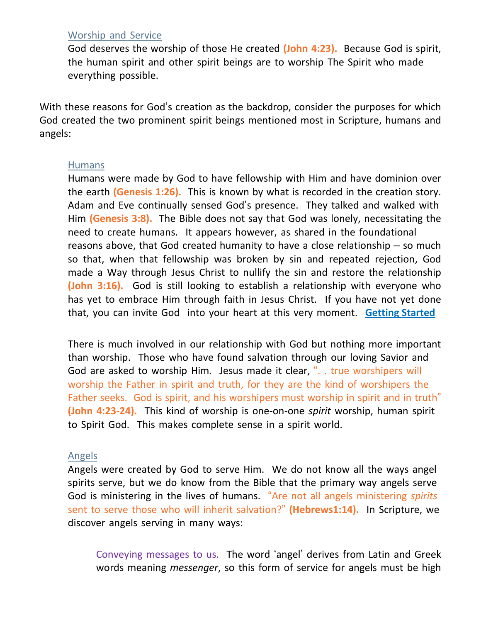## Worship and Service

God deserves the worship of those He created **(John 4:23).** Because God is spirit, the human spirit and other spirit beings are to worship The Spirit who made everything possible.

With these reasons for God's creation as the backdrop, consider the purposes for which God created the two prominent spirit beings mentioned most in Scripture, humans and angels:

## Humans

Humans were made by God to have fellowship with Him and have dominion over the earth **(Genesis 1:26).** This is known by what is recorded in the creation story. Adam and Eve continually sensed God's presence. They talked and walked with Him **(Genesis 3:8).** The Bible does not say that God was lonely, necessitating the need to create humans. It appears however, as shared in the foundational reasons above, that God created humanity to have a close relationship – so much so that, when that fellowship was broken by sin and repeated rejection, God made a Way through Jesus Christ to nullify the sin and restore the relationship **(John 3:16).** God is still looking to establish a relationship with everyone who has yet to embrace Him through faith in Jesus Christ. If you have not yet done that, you can invite God into your heart at this very moment. **Getting Started**

There is much involved in our relationship with God but nothing more important than worship. Those who have found salvation through our loving Savior and God are asked to worship Him. Jesus made it clear, "... true worshipers will worship the Father in spirit and truth, for they are the kind of worshipers the Father seeks. God is spirit, and his worshipers must worship in spirit and in truth" **(John 4:23-24).** This kind of worship is one-on-one *spirit* worship, human spirit to Spirit God. This makes complete sense in a spirit world.

#### Angels

Angels were created by God to serve Him. We do not know all the ways angel spirits serve, but we do know from the Bible that the primary way angels serve God is ministering in the lives of humans. "Are not all angels ministering *spirits* sent to serve those who will inherit salvation?" **(Hebrews1:14).** In Scripture, we discover angels serving in many ways:

Conveying messages to us. The word 'angel' derives from Latin and Greek words meaning *messenger*, so this form of service for angels must be high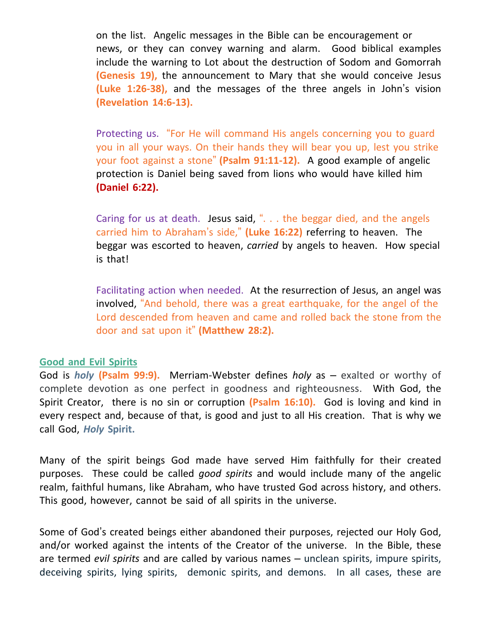on the list. Angelic messages in the Bible can be encouragement or news, or they can convey warning and alarm. Good biblical examples include the warning to Lot about the destruction of Sodom and Gomorrah **(Genesis 19),** the announcement to Mary that she would conceive Jesus **(Luke 1:26-38),** and the messages of the three angels in John's vision **(Revelation 14:6-13).**

Protecting us. "For He will command His angels concerning you to guard you in all your ways. On their hands they will bear you up, lest you strike your foot against a stone" **(Psalm 91:11-12).** A good example of angelic protection is Daniel being saved from lions who would have killed him **(Daniel 6:22).**

Caring for us at death. Jesus said, ". . . the beggar died, and the angels carried him to Abraham's side," **(Luke 16:22)** referring to heaven. The beggar was escorted to heaven, *carried* by angels to heaven. How special is that!

Facilitating action when needed. At the resurrection of Jesus, an angel was involved, "And behold, there was a great earthquake, for the angel of the Lord descended from heaven and came and rolled back the stone from the door and sat upon it" **(Matthew 28:2).**

#### **Good and Evil Spirits**

God is *holy* **(Psalm 99:9).** Merriam-Webster defines *holy* as – exalted or worthy of complete devotion as one perfect in goodness and righteousness. With God, the Spirit Creator, there is no sin or corruption **(Psalm 16:10).** God is loving and kind in every respect and, because of that, is good and just to all His creation. That is why we call God, *Holy* **Spirit.**

Many of the spirit beings God made have served Him faithfully for their created purposes. These could be called *good spirits* and would include many of the angelic realm, faithful humans, like Abraham, who have trusted God across history, and others. This good, however, cannot be said of all spirits in the universe.

Some of God's created beings either abandoned their purposes, rejected our Holy God, and/or worked against the intents of the Creator of the universe. In the Bible, these are termed *evil spirits* and are called by various names – unclean spirits, impure spirits, deceiving spirits, lying spirits, demonic spirits, and demons. In all cases, these are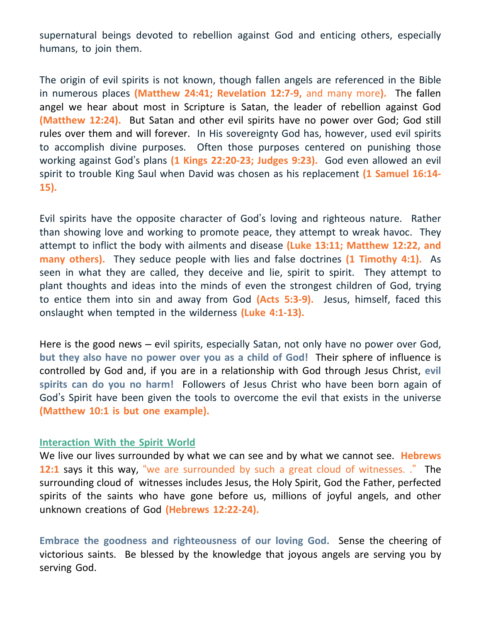supernatural beings devoted to rebellion against God and enticing others, especially humans, to join them.

The origin of evil spirits is not known, though fallen angels are referenced in the Bible in numerous places **(Matthew 24:41; Revelation 12:7-9,** and many more**).** The fallen angel we hear about most in Scripture is Satan, the leader of rebellion against God **(Matthew 12:24).** But Satan and other evil spirits have no power over God; God still rules over them and will forever. In His sovereignty God has, however, used evil spirits to accomplish divine purposes. Often those purposes centered on punishing those working against God's plans **(1 Kings 22:20-23; Judges 9:23).** God even allowed an evil spirit to trouble King Saul when David was chosen as his replacement **(1 Samuel 16:14- 15).**

Evil spirits have the opposite character of God's loving and righteous nature. Rather than showing love and working to promote peace, they attempt to wreak havoc. They attempt to inflict the body with ailments and disease **(Luke 13:11; Matthew 12:22, and many others).** They seduce people with lies and false doctrines **(1 Timothy 4:1).** As seen in what they are called, they deceive and lie, spirit to spirit. They attempt to plant thoughts and ideas into the minds of even the strongest children of God, trying to entice them into sin and away from God **(Acts 5:3-9).** Jesus, himself, faced this onslaught when tempted in the wilderness **(Luke 4:1-13).**

Here is the good news – evil spirits, especially Satan, not only have no power over God, **but they also have no power over you as a child of God!** Their sphere of influence is controlled by God and, if you are in a relationship with God through Jesus Christ, **evil spirits can do you no harm!** Followers of Jesus Christ who have been born again of God's Spirit have been given the tools to overcome the evil that exists in the universe **(Matthew 10:1 is but one example).**

#### **Interaction With the Spirit World**

We live our lives surrounded by what we can see and by what we cannot see. **Hebrews 12:1** says it this way, "we are surrounded by such a great cloud of witnesses. ." The surrounding cloud of witnesses includes Jesus, the Holy Spirit, God the Father, perfected spirits of the saints who have gone before us, millions of joyful angels, and other unknown creations of God **(Hebrews 12:22-24).**

**Embrace the goodness and righteousness of our loving God.** Sense the cheering of victorious saints. Be blessed by the knowledge that joyous angels are serving you by serving God.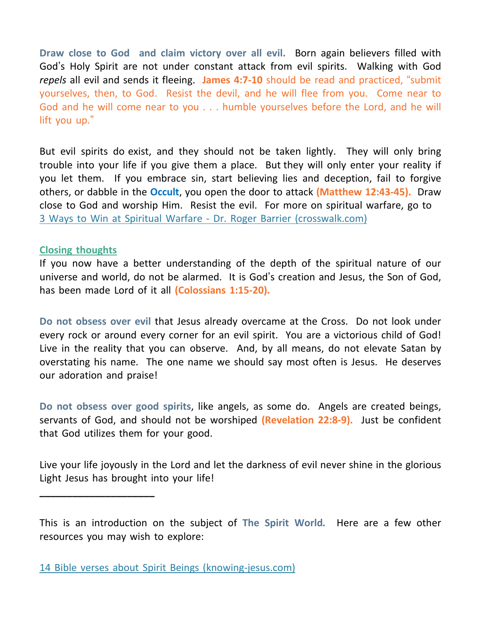**Draw close to God and claim victory over all evil.** Born again believers filled with God's Holy Spirit are not under constant attack from evil spirits. Walking with God *repels* all evil and sends it fleeing. **James 4:7-10** should be read and practiced, "submit yourselves, then, to God. Resist the devil, and he will flee from you. Come near to God and he will come near to you . . . humble yourselves before the Lord, and he will lift you up."

But evil spirits do exist, and they should not be taken lightly. They will only bring trouble into your life if you give them a place. But they will only enter your reality if you let them. If you embrace sin, start believing lies and deception, fail to forgive others, or dabble in the **Occult**, you open the door to attack **(Matthew 12:43-45).** Draw close to God and worship Him. Resist the evil. For more on spiritual warfare, go to 3 Ways to Win at Spiritual Warfare - Dr. Roger Barrier [\(crosswalk.com\)](https://www.crosswalk.com/church/pastors-or-leadership/ask-roger/3-ways-to-win-at-spiritual-warfare.html)

## **Closing thoughts**

**\_\_\_\_\_\_\_\_\_\_\_\_\_\_\_\_\_\_\_\_\_**

If you now have a better understanding of the depth of the spiritual nature of our universe and world, do not be alarmed. It is God's creation and Jesus, the Son of God, has been made Lord of it all **(Colossians 1:15-20).**

**Do not obsess over evil** that Jesus already overcame at the Cross. Do not look under every rock or around every corner for an evil spirit. You are a victorious child of God! Live in the reality that you can observe. And, by all means, do not elevate Satan by overstating his name. The one name we should say most often is Jesus. He deserves our adoration and praise!

**Do not obsess over good spirits**, like angels, as some do. Angels are created beings, servants of God, and should not be worshiped **(Revelation 22:8-9).** Just be confident that God utilizes them for your good.

Live your life joyously in the Lord and let the darkness of evil never shine in the glorious Light Jesus has brought into your life!

This is an introduction on the subject of **The Spirit World***.* Here are a few other resources you may wish to explore:

<sup>14</sup> Bible verses about Spirit Beings [\(knowing-jesus.com\)](https://bible.knowing-jesus.com/topics/Spirit-Beings)